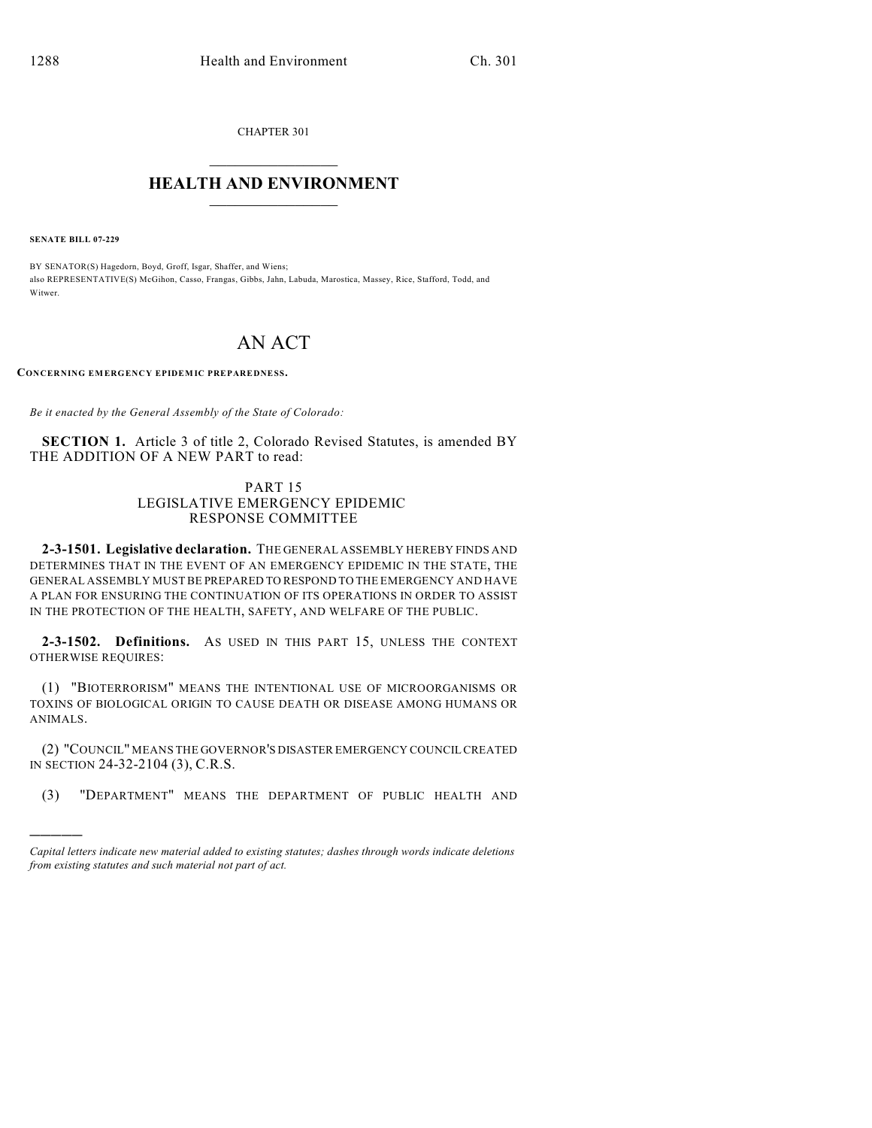CHAPTER 301  $\mathcal{L}_\text{max}$  . The set of the set of the set of the set of the set of the set of the set of the set of the set of the set of the set of the set of the set of the set of the set of the set of the set of the set of the set

## **HEALTH AND ENVIRONMENT**  $\_$

**SENATE BILL 07-229**

)))))

BY SENATOR(S) Hagedorn, Boyd, Groff, Isgar, Shaffer, and Wiens; also REPRESENTATIVE(S) McGihon, Casso, Frangas, Gibbs, Jahn, Labuda, Marostica, Massey, Rice, Stafford, Todd, and Witwer.

## AN ACT

**CONCERNING EM ERGENCY EPIDEM IC PREPAREDNESS.**

*Be it enacted by the General Assembly of the State of Colorado:*

**SECTION 1.** Article 3 of title 2, Colorado Revised Statutes, is amended BY THE ADDITION OF A NEW PART to read:

## PART 15 LEGISLATIVE EMERGENCY EPIDEMIC RESPONSE COMMITTEE

**2-3-1501. Legislative declaration.** THE GENERAL ASSEMBLY HEREBY FINDS AND DETERMINES THAT IN THE EVENT OF AN EMERGENCY EPIDEMIC IN THE STATE, THE GENERAL ASSEMBLY MUST BE PREPARED TO RESPOND TO THE EMERGENCY AND HAVE A PLAN FOR ENSURING THE CONTINUATION OF ITS OPERATIONS IN ORDER TO ASSIST IN THE PROTECTION OF THE HEALTH, SAFETY, AND WELFARE OF THE PUBLIC.

**2-3-1502. Definitions.** AS USED IN THIS PART 15, UNLESS THE CONTEXT OTHERWISE REQUIRES:

(1) "BIOTERRORISM" MEANS THE INTENTIONAL USE OF MICROORGANISMS OR TOXINS OF BIOLOGICAL ORIGIN TO CAUSE DEATH OR DISEASE AMONG HUMANS OR ANIMALS.

(2) "COUNCIL" MEANS THE GOVERNOR'S DISASTER EMERGENCY COUNCIL CREATED IN SECTION 24-32-2104 (3), C.R.S.

(3) "DEPARTMENT" MEANS THE DEPARTMENT OF PUBLIC HEALTH AND

*Capital letters indicate new material added to existing statutes; dashes through words indicate deletions from existing statutes and such material not part of act.*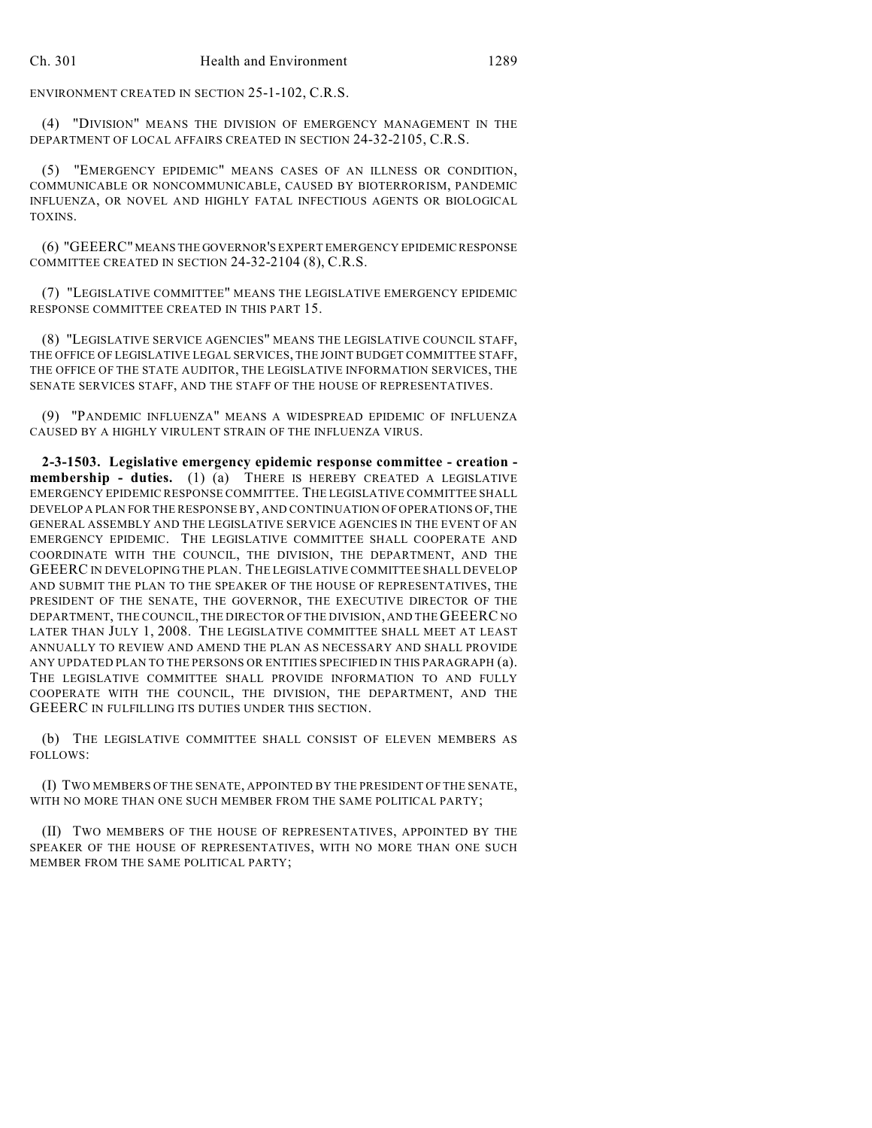ENVIRONMENT CREATED IN SECTION 25-1-102, C.R.S.

(4) "DIVISION" MEANS THE DIVISION OF EMERGENCY MANAGEMENT IN THE DEPARTMENT OF LOCAL AFFAIRS CREATED IN SECTION 24-32-2105, C.R.S.

(5) "EMERGENCY EPIDEMIC" MEANS CASES OF AN ILLNESS OR CONDITION, COMMUNICABLE OR NONCOMMUNICABLE, CAUSED BY BIOTERRORISM, PANDEMIC INFLUENZA, OR NOVEL AND HIGHLY FATAL INFECTIOUS AGENTS OR BIOLOGICAL TOXINS.

(6) "GEEERC" MEANS THE GOVERNOR'S EXPERT EMERGENCY EPIDEMIC RESPONSE COMMITTEE CREATED IN SECTION 24-32-2104 (8), C.R.S.

(7) "LEGISLATIVE COMMITTEE" MEANS THE LEGISLATIVE EMERGENCY EPIDEMIC RESPONSE COMMITTEE CREATED IN THIS PART 15.

(8) "LEGISLATIVE SERVICE AGENCIES" MEANS THE LEGISLATIVE COUNCIL STAFF, THE OFFICE OF LEGISLATIVE LEGAL SERVICES, THE JOINT BUDGET COMMITTEE STAFF, THE OFFICE OF THE STATE AUDITOR, THE LEGISLATIVE INFORMATION SERVICES, THE SENATE SERVICES STAFF, AND THE STAFF OF THE HOUSE OF REPRESENTATIVES.

(9) "PANDEMIC INFLUENZA" MEANS A WIDESPREAD EPIDEMIC OF INFLUENZA CAUSED BY A HIGHLY VIRULENT STRAIN OF THE INFLUENZA VIRUS.

**2-3-1503. Legislative emergency epidemic response committee - creation membership - duties.** (1) (a) THERE IS HEREBY CREATED A LEGISLATIVE EMERGENCY EPIDEMIC RESPONSE COMMITTEE. THE LEGISLATIVE COMMITTEE SHALL DEVELOP A PLAN FOR THE RESPONSE BY, AND CONTINUATION OF OPERATIONS OF, THE GENERAL ASSEMBLY AND THE LEGISLATIVE SERVICE AGENCIES IN THE EVENT OF AN EMERGENCY EPIDEMIC. THE LEGISLATIVE COMMITTEE SHALL COOPERATE AND COORDINATE WITH THE COUNCIL, THE DIVISION, THE DEPARTMENT, AND THE GEEERC IN DEVELOPING THE PLAN. THE LEGISLATIVE COMMITTEE SHALL DEVELOP AND SUBMIT THE PLAN TO THE SPEAKER OF THE HOUSE OF REPRESENTATIVES, THE PRESIDENT OF THE SENATE, THE GOVERNOR, THE EXECUTIVE DIRECTOR OF THE DEPARTMENT, THE COUNCIL, THE DIRECTOR OF THE DIVISION, AND THE GEEERC NO LATER THAN JULY 1, 2008. THE LEGISLATIVE COMMITTEE SHALL MEET AT LEAST ANNUALLY TO REVIEW AND AMEND THE PLAN AS NECESSARY AND SHALL PROVIDE ANY UPDATED PLAN TO THE PERSONS OR ENTITIES SPECIFIED IN THIS PARAGRAPH (a). THE LEGISLATIVE COMMITTEE SHALL PROVIDE INFORMATION TO AND FULLY COOPERATE WITH THE COUNCIL, THE DIVISION, THE DEPARTMENT, AND THE GEEERC IN FULFILLING ITS DUTIES UNDER THIS SECTION.

(b) THE LEGISLATIVE COMMITTEE SHALL CONSIST OF ELEVEN MEMBERS AS FOLLOWS:

(I) TWO MEMBERS OF THE SENATE, APPOINTED BY THE PRESIDENT OF THE SENATE, WITH NO MORE THAN ONE SUCH MEMBER FROM THE SAME POLITICAL PARTY;

(II) TWO MEMBERS OF THE HOUSE OF REPRESENTATIVES, APPOINTED BY THE SPEAKER OF THE HOUSE OF REPRESENTATIVES, WITH NO MORE THAN ONE SUCH MEMBER FROM THE SAME POLITICAL PARTY;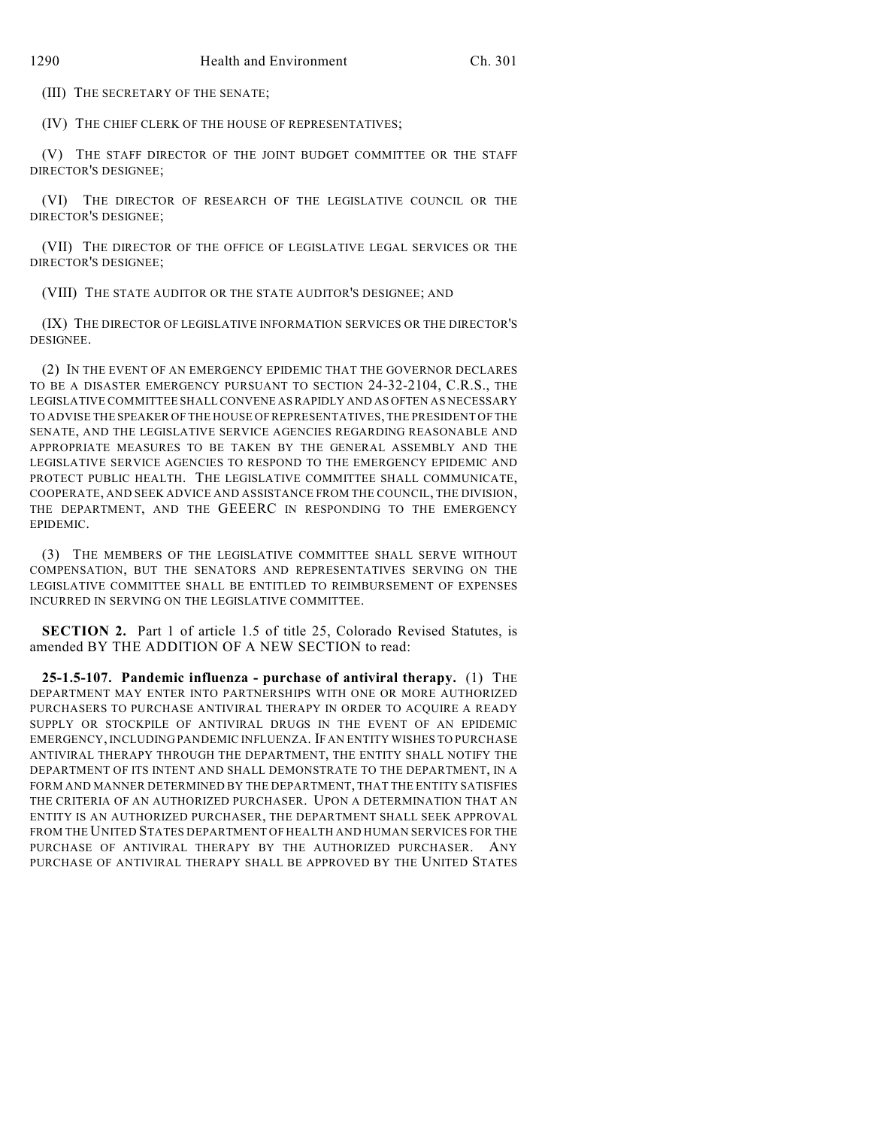(III) THE SECRETARY OF THE SENATE;

(IV) THE CHIEF CLERK OF THE HOUSE OF REPRESENTATIVES;

(V) THE STAFF DIRECTOR OF THE JOINT BUDGET COMMITTEE OR THE STAFF DIRECTOR'S DESIGNEE;

(VI) THE DIRECTOR OF RESEARCH OF THE LEGISLATIVE COUNCIL OR THE DIRECTOR'S DESIGNEE;

(VII) THE DIRECTOR OF THE OFFICE OF LEGISLATIVE LEGAL SERVICES OR THE DIRECTOR'S DESIGNEE;

(VIII) THE STATE AUDITOR OR THE STATE AUDITOR'S DESIGNEE; AND

(IX) THE DIRECTOR OF LEGISLATIVE INFORMATION SERVICES OR THE DIRECTOR'S DESIGNEE.

(2) IN THE EVENT OF AN EMERGENCY EPIDEMIC THAT THE GOVERNOR DECLARES TO BE A DISASTER EMERGENCY PURSUANT TO SECTION 24-32-2104, C.R.S., THE LEGISLATIVE COMMITTEE SHALL CONVENE AS RAPIDLY AND AS OFTEN AS NECESSARY TO ADVISE THE SPEAKER OF THE HOUSE OF REPRESENTATIVES, THE PRESIDENT OF THE SENATE, AND THE LEGISLATIVE SERVICE AGENCIES REGARDING REASONABLE AND APPROPRIATE MEASURES TO BE TAKEN BY THE GENERAL ASSEMBLY AND THE LEGISLATIVE SERVICE AGENCIES TO RESPOND TO THE EMERGENCY EPIDEMIC AND PROTECT PUBLIC HEALTH. THE LEGISLATIVE COMMITTEE SHALL COMMUNICATE, COOPERATE, AND SEEK ADVICE AND ASSISTANCE FROM THE COUNCIL, THE DIVISION, THE DEPARTMENT, AND THE GEEERC IN RESPONDING TO THE EMERGENCY EPIDEMIC.

(3) THE MEMBERS OF THE LEGISLATIVE COMMITTEE SHALL SERVE WITHOUT COMPENSATION, BUT THE SENATORS AND REPRESENTATIVES SERVING ON THE LEGISLATIVE COMMITTEE SHALL BE ENTITLED TO REIMBURSEMENT OF EXPENSES INCURRED IN SERVING ON THE LEGISLATIVE COMMITTEE.

**SECTION 2.** Part 1 of article 1.5 of title 25, Colorado Revised Statutes, is amended BY THE ADDITION OF A NEW SECTION to read:

**25-1.5-107. Pandemic influenza - purchase of antiviral therapy.** (1) THE DEPARTMENT MAY ENTER INTO PARTNERSHIPS WITH ONE OR MORE AUTHORIZED PURCHASERS TO PURCHASE ANTIVIRAL THERAPY IN ORDER TO ACQUIRE A READY SUPPLY OR STOCKPILE OF ANTIVIRAL DRUGS IN THE EVENT OF AN EPIDEMIC EMERGENCY, INCLUDING PANDEMIC INFLUENZA. IF AN ENTITY WISHES TO PURCHASE ANTIVIRAL THERAPY THROUGH THE DEPARTMENT, THE ENTITY SHALL NOTIFY THE DEPARTMENT OF ITS INTENT AND SHALL DEMONSTRATE TO THE DEPARTMENT, IN A FORM AND MANNER DETERMINED BY THE DEPARTMENT, THAT THE ENTITY SATISFIES THE CRITERIA OF AN AUTHORIZED PURCHASER. UPON A DETERMINATION THAT AN ENTITY IS AN AUTHORIZED PURCHASER, THE DEPARTMENT SHALL SEEK APPROVAL FROM THE UNITED STATES DEPARTMENT OF HEALTH AND HUMAN SERVICES FOR THE PURCHASE OF ANTIVIRAL THERAPY BY THE AUTHORIZED PURCHASER. ANY PURCHASE OF ANTIVIRAL THERAPY SHALL BE APPROVED BY THE UNITED STATES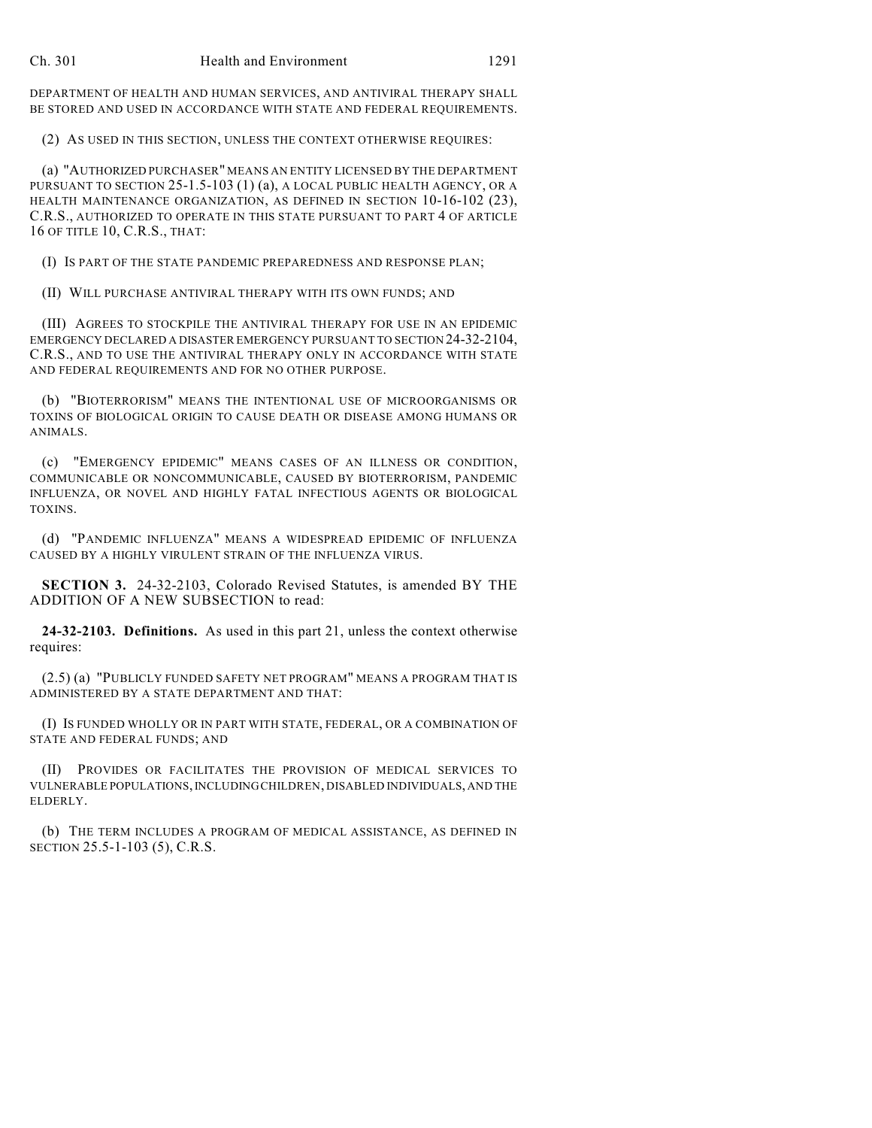DEPARTMENT OF HEALTH AND HUMAN SERVICES, AND ANTIVIRAL THERAPY SHALL BE STORED AND USED IN ACCORDANCE WITH STATE AND FEDERAL REQUIREMENTS.

(2) AS USED IN THIS SECTION, UNLESS THE CONTEXT OTHERWISE REQUIRES:

(a) "AUTHORIZED PURCHASER" MEANS AN ENTITY LICENSED BY THE DEPARTMENT PURSUANT TO SECTION 25-1.5-103 (1) (a), A LOCAL PUBLIC HEALTH AGENCY, OR A HEALTH MAINTENANCE ORGANIZATION, AS DEFINED IN SECTION 10-16-102 (23), C.R.S., AUTHORIZED TO OPERATE IN THIS STATE PURSUANT TO PART 4 OF ARTICLE 16 OF TITLE 10, C.R.S., THAT:

(I) IS PART OF THE STATE PANDEMIC PREPAREDNESS AND RESPONSE PLAN;

(II) WILL PURCHASE ANTIVIRAL THERAPY WITH ITS OWN FUNDS; AND

(III) AGREES TO STOCKPILE THE ANTIVIRAL THERAPY FOR USE IN AN EPIDEMIC EMERGENCY DECLARED A DISASTER EMERGENCY PURSUANT TO SECTION 24-32-2104, C.R.S., AND TO USE THE ANTIVIRAL THERAPY ONLY IN ACCORDANCE WITH STATE AND FEDERAL REQUIREMENTS AND FOR NO OTHER PURPOSE.

(b) "BIOTERRORISM" MEANS THE INTENTIONAL USE OF MICROORGANISMS OR TOXINS OF BIOLOGICAL ORIGIN TO CAUSE DEATH OR DISEASE AMONG HUMANS OR ANIMALS.

(c) "EMERGENCY EPIDEMIC" MEANS CASES OF AN ILLNESS OR CONDITION, COMMUNICABLE OR NONCOMMUNICABLE, CAUSED BY BIOTERRORISM, PANDEMIC INFLUENZA, OR NOVEL AND HIGHLY FATAL INFECTIOUS AGENTS OR BIOLOGICAL TOXINS.

(d) "PANDEMIC INFLUENZA" MEANS A WIDESPREAD EPIDEMIC OF INFLUENZA CAUSED BY A HIGHLY VIRULENT STRAIN OF THE INFLUENZA VIRUS.

**SECTION 3.** 24-32-2103, Colorado Revised Statutes, is amended BY THE ADDITION OF A NEW SUBSECTION to read:

**24-32-2103. Definitions.** As used in this part 21, unless the context otherwise requires:

(2.5) (a) "PUBLICLY FUNDED SAFETY NET PROGRAM" MEANS A PROGRAM THAT IS ADMINISTERED BY A STATE DEPARTMENT AND THAT:

(I) IS FUNDED WHOLLY OR IN PART WITH STATE, FEDERAL, OR A COMBINATION OF STATE AND FEDERAL FUNDS; AND

(II) PROVIDES OR FACILITATES THE PROVISION OF MEDICAL SERVICES TO VULNERABLE POPULATIONS, INCLUDING CHILDREN, DISABLED INDIVIDUALS, AND THE ELDERLY.

(b) THE TERM INCLUDES A PROGRAM OF MEDICAL ASSISTANCE, AS DEFINED IN SECTION 25.5-1-103 (5), C.R.S.